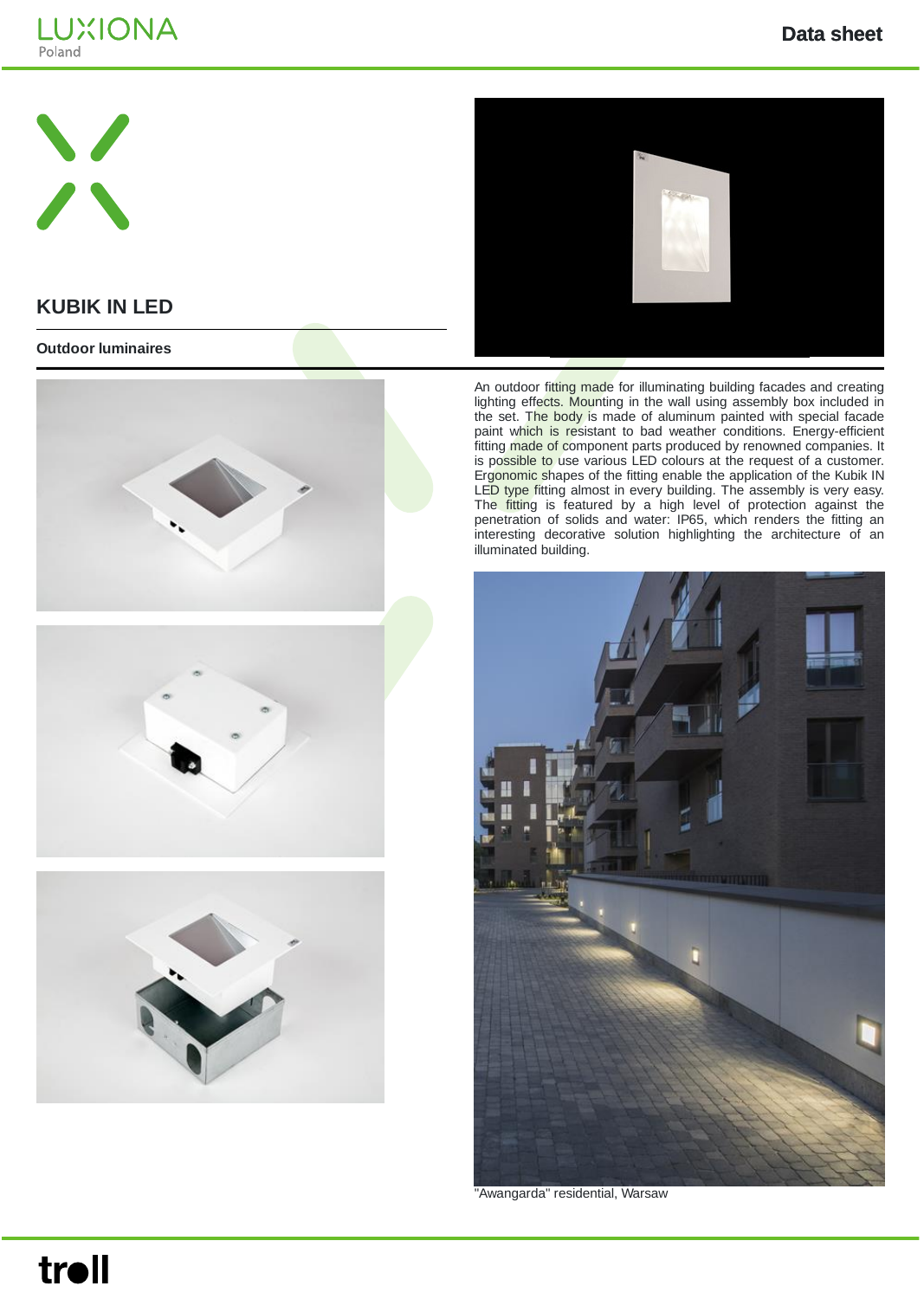





## **KUBIK IN LED**

#### **Outdoor luminaires**



An outdoor fitting made for illuminating building facades and creating lighting effects. Mounting in the wall using assembly box included in the set. The body is made of aluminum painted with special facade paint which is resistant to bad weather conditions. Energy-efficient fitting made of component parts produced by renowned companies. It is possible to use various LED colours at the request of a customer. Ergonomic shapes of the fitting enable the application of the Kubik IN LED type fitting almost in every building. The assembly is very easy. The fitting is featured by a high level of protection against the penetration of solids and water: IP65, which renders the fitting an interesting decorative solution highlighting the architecture of an illuminated building.



"Awangarda" residential, Warsaw